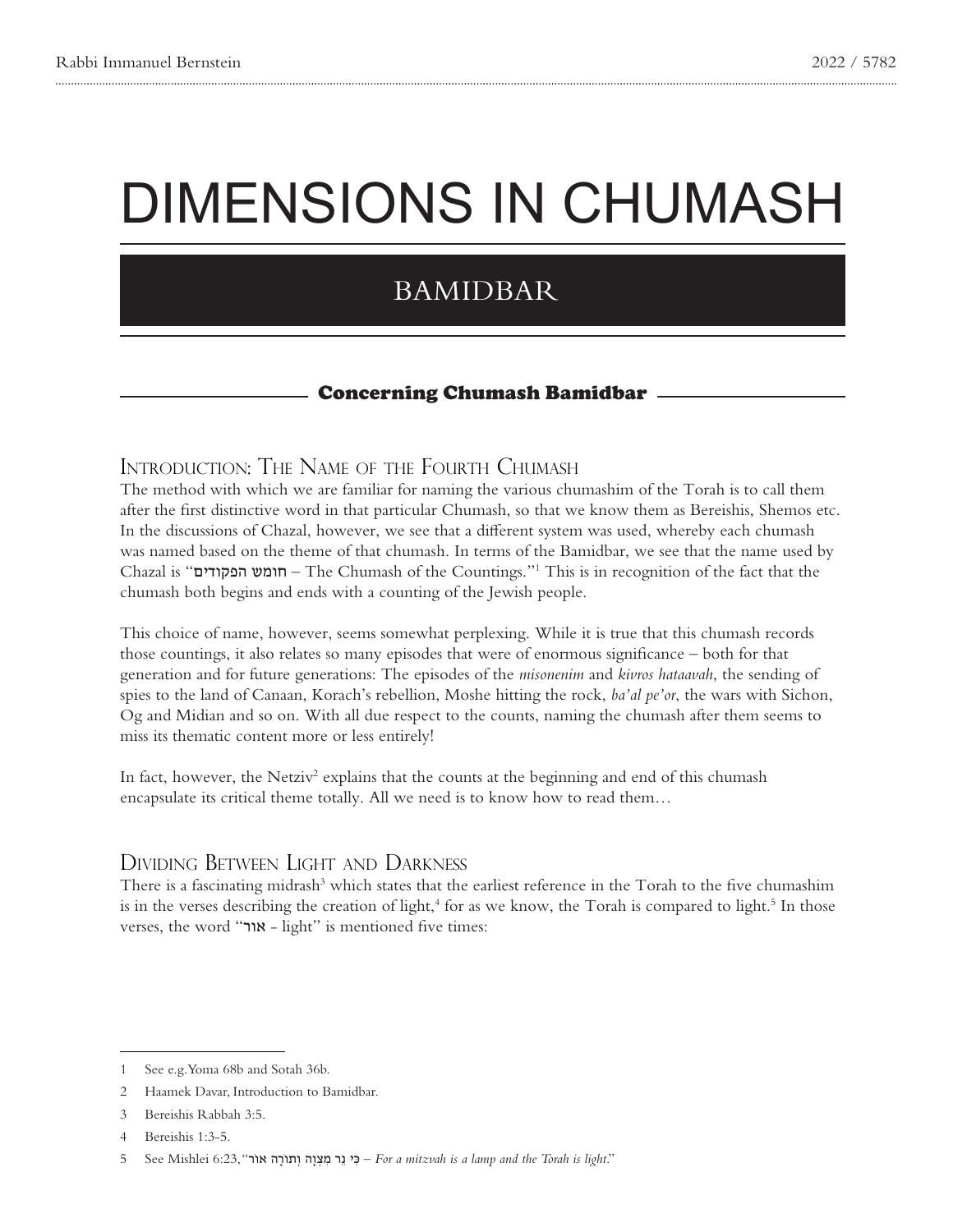# DIMENSIONS IN CHUMASH

# BAMIDBAR

#### **Concerning Chumash Bamidbar**

#### INTRODUCTION: THE NAME OF THE FOURTH CHUMASH

The method with which we are familiar for naming the various chumashim of the Torah is to call them after the first distinctive word in that particular Chumash, so that we know them as Bereishis, Shemos etc. In the discussions of Chazal, however, we see that a different system was used, whereby each chumash was named based on the theme of that chumash. In terms of the Bamidbar, we see that the name used by Chazal is "חומש הפקודים" – The Chumash of the Countings."<sup>1</sup> This is in recognition of the fact that the chumash both begins and ends with a counting of the Jewish people.

This choice of name, however, seems somewhat perplexing. While it is true that this chumash records those countings, it also relates so many episodes that were of enormous significance – both for that generation and for future generations: The episodes of the *misonenim* and *kivros hataavah*, the sending of spies to the land of Canaan, Korach's rebellion, Moshe hitting the rock, *ba'al pe'or*, the wars with Sichon, Og and Midian and so on. With all due respect to the counts, naming the chumash after them seems to miss its thematic content more or less entirely!

In fact, however, the Netziv<sup>2</sup> explains that the counts at the beginning and end of this chumash encapsulate its critical theme totally. All we need is to know how to read them...

#### DIVIDING BETWEEN LIGHT AND DARKNESS

There is a fascinating midrash<sup>3</sup> which states that the earliest reference in the Torah to the five chumashim is in the verses describing the creation of light,<sup>4</sup> for as we know, the Torah is compared to light.<sup>5</sup> In those verses, the word "אור" - light" is mentioned five times:

<sup>1</sup> See e.g. Yoma 68b and Sotah 36b.

<sup>2</sup> Haamek Davar, Introduction to Bamidbar.

<sup>3</sup> Bereishis Rabbah 3:5.

<sup>4</sup> Bereishis 1:3-5.

<sup>5</sup> See Mishlei 6:23, "**And – כי נר מצוה ותורה אור"** (For a mitzvah is a lamp and the Torah is light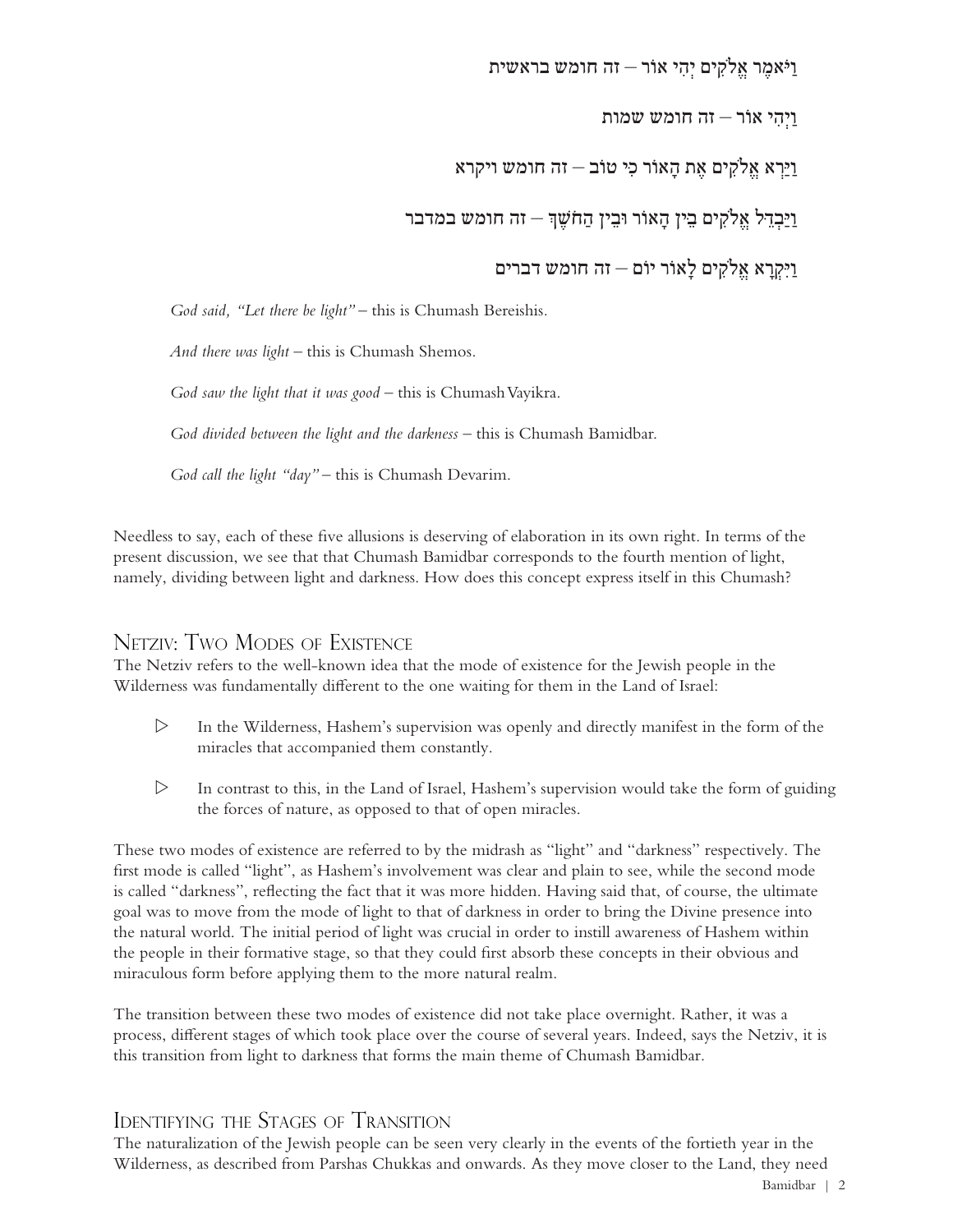#### וַיֹּאמֶ ר אֱֹלקִ ים יְהִ י אוֹר – זה חומש בראשית

וַיְהִ י אוֹר – זה חומש שמות

וַיַּרְ א אֱֹלקִ ים אֶ ת הָ אוֹר כִ ּי טוֹב – זה חומש ויקרא

<u>וַי</u>ּבְדֵל אֱלֹקִים בֵין הַאוֹר וּבֵין הַחֹשֵׁךְ – זה חומש במדבר

וַיִּקְ רָ א אֱֹלקִ ים לָאוֹר יוֹם – זה חומש דברים

*God said, "Let there be light"* – this is Chumash Bereishis.

*And there was light – this is Chumash Shemos.* 

God saw the light that it was good – this is Chumash Vayikra.

God divided between the light and the darkness – this is Chumash Bamidbar.

God call the light "day" – this is Chumash Devarim.

Needless to say, each of these five allusions is deserving of elaboration in its own right. In terms of the present discussion, we see that that Chumash Bamidbar corresponds to the fourth mention of light, namely, dividing between light and darkness. How does this concept express itself in this Chumash?

#### NETZIV: TWO MODES OF EXISTENCE

The Netziv refers to the well-known idea that the mode of existence for the Jewish people in the Wilderness was fundamentally different to the one waiting for them in the Land of Israel:

- $\triangleright$  In the Wilderness, Hashem's supervision was openly and directly manifest in the form of the miracles that accompanied them constantly.
- $\triangleright$  In contrast to this, in the Land of Israel, Hashem's supervision would take the form of guiding the forces of nature, as opposed to that of open miracles.

These two modes of existence are referred to by the midrash as "light" and "darkness" respectively. The first mode is called "light", as Hashem's involvement was clear and plain to see, while the second mode is called "darkness", reflecting the fact that it was more hidden. Having said that, of course, the ultimate goal was to move from the mode of light to that of darkness in order to bring the Divine presence into the natural world. The initial period of light was crucial in order to instill awareness of Hashem within the people in their formative stage, so that they could first absorb these concepts in their obvious and miraculous form before applying them to the more natural realm.

The transition between these two modes of existence did not take place overnight. Rather, it was a process, different stages of which took place over the course of several years. Indeed, says the Netziv, it is this transition from light to darkness that forms the main theme of Chumash Bamidbar.

## IDENTIFYING THE STAGES OF TRANSITION

The naturalization of the Jewish people can be seen very clearly in the events of the fortieth year in the Wilderness, as described from Parshas Chukkas and onwards. As they move closer to the Land, they need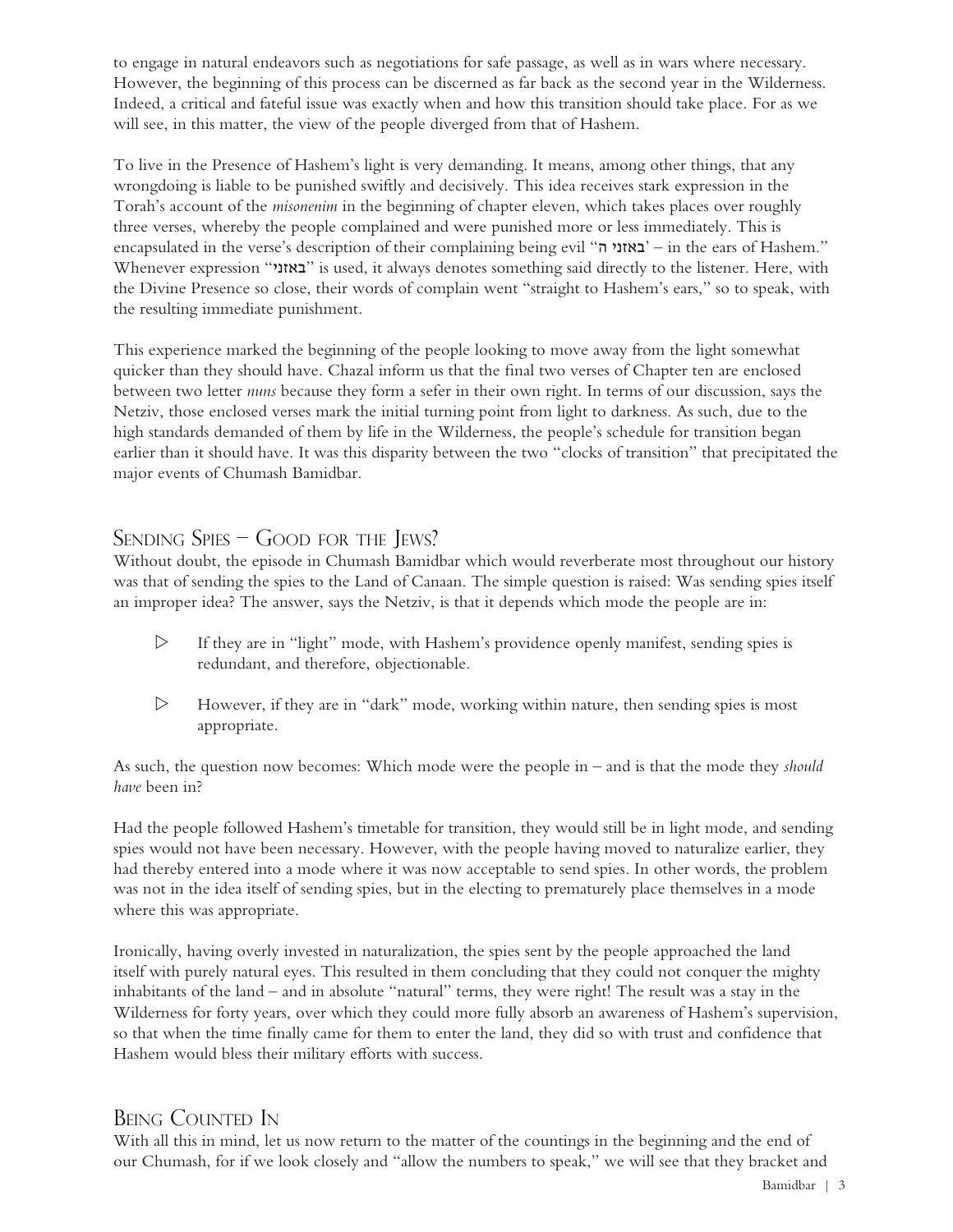to engage in natural endeavors such as negotiations for safe passage, as well as in wars where necessary. However, the beginning of this process can be discerned as far back as the second year in the Wilderness. Indeed, a critical and fateful issue was exactly when and how this transition should take place. For as we will see, in this matter, the view of the people diverged from that of Hashem.

To live in the Presence of Hashem's light is very demanding. It means, among other things, that any wrongdoing is liable to be punished swiftly and decisively. This idea receives stark expression in the Torah's account of the *misonenim* in the beginning of chapter eleven, which takes places over roughly three verses, whereby the people complained and were punished more or less immediately. This is encapsulated in the verse's description of their complaining being evil "באזני ה" – in the ears of Hashem." Whenever expression "באזני" is used, it always denotes something said directly to the listener. Here, with the Divine Presence so close, their words of complain went "straight to Hashem's ears," so to speak, with the resulting immediate punishment.

This experience marked the beginning of the people looking to move away from the light somewhat quicker than they should have. Chazal inform us that the final two verses of Chapter ten are enclosed between two letter *nuns* because they form a sefer in their own right. In terms of our discussion, says the Netziv, those enclosed verses mark the initial turning point from light to darkness. As such, due to the high standards demanded of them by life in the Wilderness, the people's schedule for transition began earlier than it should have. It was this disparity between the two "clocks of transition" that precipitated the major events of Chumash Bamidbar.

# $S$ ending  $S$ pies – Good for the Jews?

Without doubt, the episode in Chumash Bamidbar which would reverberate most throughout our history was that of sending the spies to the Land of Canaan. The simple question is raised: Was sending spies itself an improper idea? The answer, says the Netziv, is that it depends which mode the people are in:

- $\triangleright$  If they are in "light" mode, with Hashem's providence openly manifest, sending spies is redundant, and therefore, objectionable.
- $\triangleright$  However, if they are in "dark" mode, working within nature, then sending spies is most appropriate.

As such, the question now becomes: Which mode were the people in – and is that the mode they *should* have been in?

Had the people followed Hashem's timetable for transition, they would still be in light mode, and sending spies would not have been necessary. However, with the people having moved to naturalize earlier, they had thereby entered into a mode where it was now acceptable to send spies. In other words, the problem was not in the idea itself of sending spies, but in the electing to prematurely place themselves in a mode where this was appropriate.

Ironically, having overly invested in naturalization, the spies sent by the people approached the land itself with purely natural eyes. This resulted in them concluding that they could not conquer the mighty inhabitants of the land – and in absolute "natural" terms, they were right! The result was a stay in the Wilderness for forty years, over which they could more fully absorb an awareness of Hashem's supervision, so that when the time finally came for them to enter the land, they did so with trust and confidence that Hashem would bless their military efforts with success.

# BEING COUNTED IN

With all this in mind, let us now return to the matter of the countings in the beginning and the end of our Chumash, for if we look closely and "allow the numbers to speak," we will see that they bracket and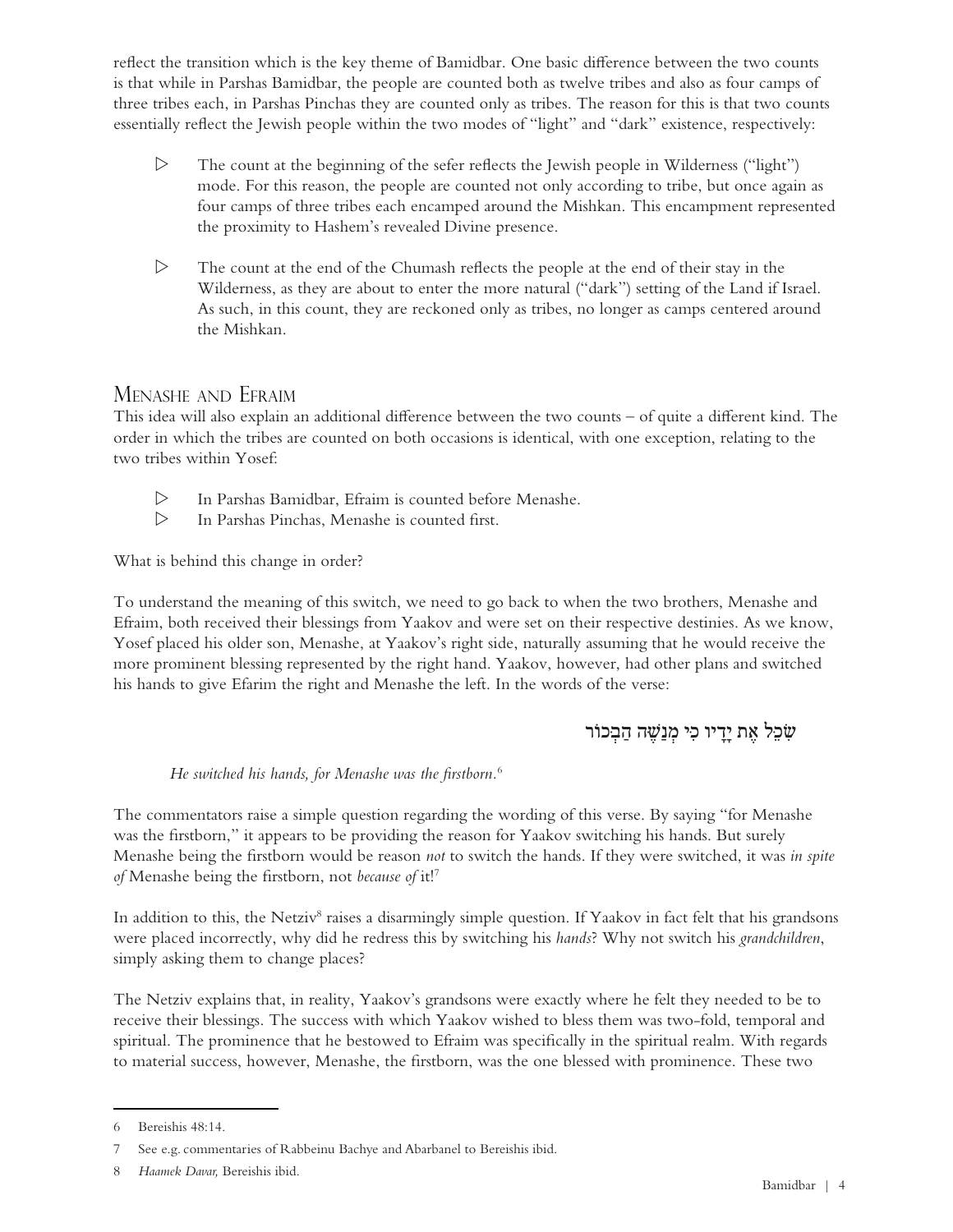reflect the transition which is the key theme of Bamidbar. One basic difference between the two counts is that while in Parshas Bamidbar, the people are counted both as twelve tribes and also as four camps of three tribes each, in Parshas Pinchas they are counted only as tribes. The reason for this is that two counts essentially reflect the Jewish people within the two modes of "light" and "dark" existence, respectively:

- $\triangleright$  The count at the beginning of the sefer reflects the Jewish people in Wilderness ("light") mode. For this reason, the people are counted not only according to tribe, but once again as four camps of three tribes each encamped around the Mishkan. This encampment represented the proximity to Hashem's revealed Divine presence.
- $\triangleright$  The count at the end of the Chumash reflects the people at the end of their stay in the Wilderness, as they are about to enter the more natural ("dark") setting of the Land if Israel. As such, in this count, they are reckoned only as tribes, no longer as camps centered around the Mishkan.

#### Menashe and Efraim

This idea will also explain an additional difference between the two counts  $-$  of quite a different kind. The order in which the tribes are counted on both occasions is identical, with one exception, relating to the two tribes within Yosef:

- $\triangleright$  In Parshas Bamidbar, Efraim is counted before Menashe.
- $\triangleright$  In Parshas Pinchas, Menashe is counted first.

What is behind this change in order?

To understand the meaning of this switch, we need to go back to when the two brothers, Menashe and Efraim, both received their blessings from Yaakov and were set on their respective destinies. As we know, Yosef placed his older son, Menashe, at Yaakov's right side, naturally assuming that he would receive the more prominent blessing represented by the right hand. Yaakov, however, had other plans and switched his hands to give Efarim the right and Menashe the left. In the words of the verse:

## שִׁכֵּל אֶת <u>יד</u>ִיו כִּי מְנַשֶּׁה הַבְּכוֹר

*He switched his hands, for Menashe was the firstborn.*<sup>6</sup>

The commentators raise a simple question regarding the wording of this verse. By saying "for Menashe" was the firstborn," it appears to be providing the reason for Yaakov switching his hands. But surely Menashe being the firstborn would be reason *not* to switch the hands. If they were switched, it was in spite of Menashe being the firstborn, not because of it!<sup>7</sup>

In addition to this, the Netziv<sup>8</sup> raises a disarmingly simple question. If Yaakov in fact felt that his grandsons were placed incorrectly, why did he redress this by switching his hands? Why not switch his grandchildren, simply asking them to change places?

The Netziv explains that, in reality, Yaakov's grandsons were exactly where he felt they needed to be to receive their blessings. The success with which Yaakov wished to bless them was two-fold, temporal and spiritual. The prominence that he bestowed to Efraim was specifically in the spiritual realm. With regards to material success, however, Menashe, the firstborn, was the one blessed with prominence. These two

<sup>6</sup> Bereishis 48:14.

<sup>7</sup> See e.g. commentaries of Rabbeinu Bachye and Abarbanel to Bereishis ibid.

<sup>8</sup> Haamek Davar, Bereishis ibid.